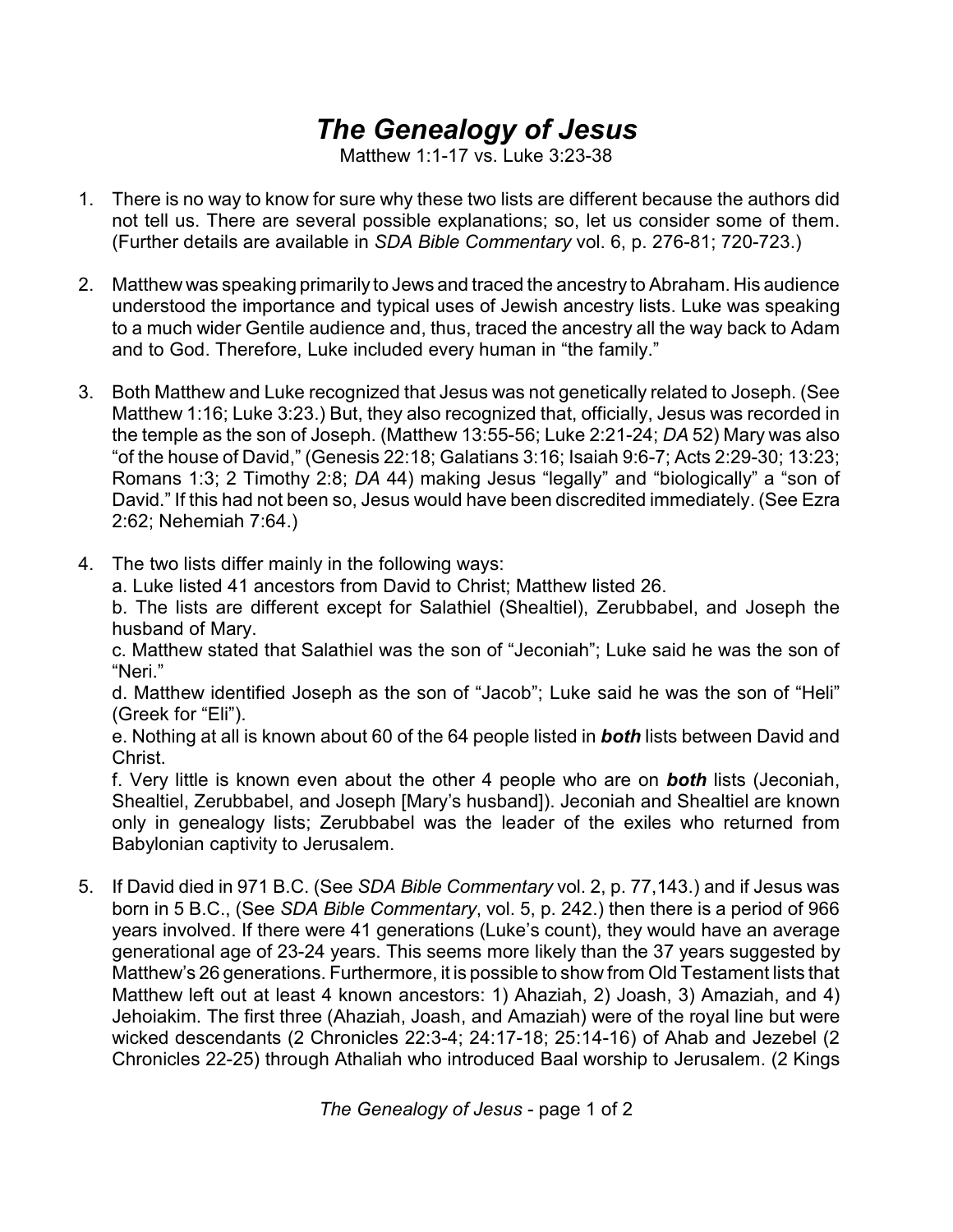## *The Genealogy of Jesus*

Matthew 1:1-17 vs. Luke 3:23-38

- 1. There is no way to know for sure why these two lists are different because the authors did not tell us. There are several possible explanations; so, let us consider some of them. (Further details are available in *SDA Bible Commentary* vol. 6, p. 276-81; 720-723.)
- 2. Matthew was speaking primarily to Jews and traced the ancestry to Abraham. His audience understood the importance and typical uses of Jewish ancestry lists. Luke was speaking to a much wider Gentile audience and, thus, traced the ancestry all the way back to Adam and to God. Therefore, Luke included every human in "the family."
- 3. Both Matthew and Luke recognized that Jesus was not genetically related to Joseph. (See Matthew 1:16; Luke 3:23.) But, they also recognized that, officially, Jesus was recorded in the temple as the son of Joseph. (Matthew 13:55-56; Luke 2:21-24; *DA* 52) Mary was also "of the house of David," (Genesis 22:18; Galatians 3:16; Isaiah 9:6-7; Acts 2:29-30; 13:23; Romans 1:3; 2 Timothy 2:8; *DA* 44) making Jesus "legally" and "biologically" a "son of David." If this had not been so, Jesus would have been discredited immediately. (See Ezra 2:62; Nehemiah 7:64.)
- 4. The two lists differ mainly in the following ways:

a. Luke listed 41 ancestors from David to Christ; Matthew listed 26.

b. The lists are different except for Salathiel (Shealtiel), Zerubbabel, and Joseph the husband of Mary.

c. Matthew stated that Salathiel was the son of "Jeconiah"; Luke said he was the son of "Neri."

d. Matthew identified Joseph as the son of "Jacob"; Luke said he was the son of "Heli" (Greek for "Eli").

e. Nothing at all is known about 60 of the 64 people listed in *both* lists between David and Christ.

f. Very little is known even about the other 4 people who are on *both* lists (Jeconiah, Shealtiel, Zerubbabel, and Joseph [Mary's husband]). Jeconiah and Shealtiel are known only in genealogy lists; Zerubbabel was the leader of the exiles who returned from Babylonian captivity to Jerusalem.

5. If David died in 971 B.C. (See *SDA Bible Commentary* vol. 2, p. 77,143.) and if Jesus was born in 5 B.C., (See *SDA Bible Commentary*, vol. 5, p. 242.) then there is a period of 966 years involved. If there were 41 generations (Luke's count), they would have an average generational age of 23-24 years. This seems more likely than the 37 years suggested by Matthew's 26 generations. Furthermore, it is possible to show from Old Testament lists that Matthew left out at least 4 known ancestors: 1) Ahaziah, 2) Joash, 3) Amaziah, and 4) Jehoiakim. The first three (Ahaziah, Joash, and Amaziah) were of the royal line but were wicked descendants (2 Chronicles 22:3-4; 24:17-18; 25:14-16) of Ahab and Jezebel (2 Chronicles 22-25) through Athaliah who introduced Baal worship to Jerusalem. (2 Kings

*The Genealogy of Jesus* - page 1 of 2